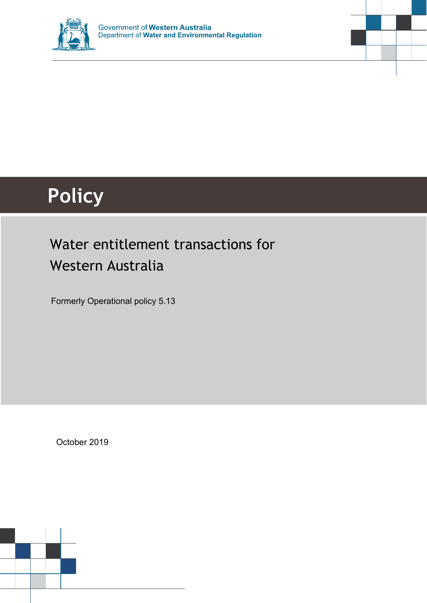



# **Policy**

# Water entitlement transactions for Western Australia

Formerly Operational policy 5.13

October 2019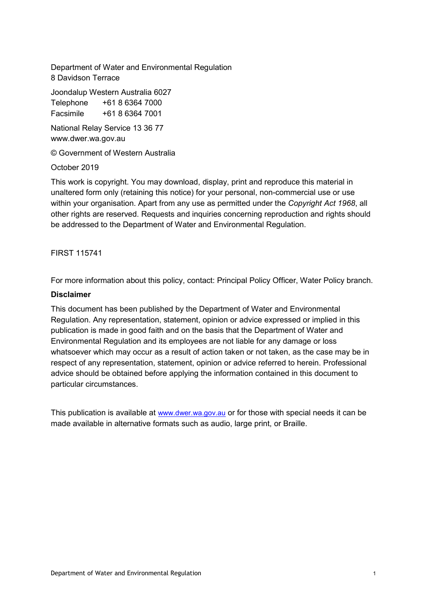Department of Water and Environmental Regulation 8 Davidson Terrace

Joondalup Western Australia 6027

Telephone +61 8 6364 7000 Facsimile +61 8 6364 7001

National Relay Service 13 36 77 www.dwer.wa.gov.au

© Government of Western Australia

October 2019

This work is copyright. You may download, display, print and reproduce this material in unaltered form only (retaining this notice) for your personal, non-commercial use or use within your organisation. Apart from any use as permitted under the *Copyright Act 1968*, all other rights are reserved. Requests and inquiries concerning reproduction and rights should be addressed to the Department of Water and Environmental Regulation.

FIRST 115741

For more information about this policy, contact: Principal Policy Officer, Water Policy branch.

#### **Disclaimer**

This document has been published by the Department of Water and Environmental Regulation. Any representation, statement, opinion or advice expressed or implied in this publication is made in good faith and on the basis that the Department of Water and Environmental Regulation and its employees are not liable for any damage or loss whatsoever which may occur as a result of action taken or not taken, as the case may be in respect of any representation, statement, opinion or advice referred to herein. Professional advice should be obtained before applying the information contained in this document to particular circumstances.

This publication is available at [www.dwer.wa.gov.au](http://www.dwer.wa.gov.au/) or for those with special needs it can be made available in alternative formats such as audio, large print, or Braille.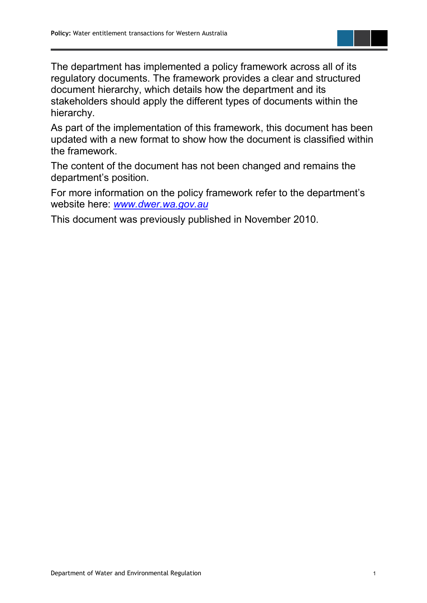The department has implemented a policy framework across all of its regulatory documents. The framework provides a clear and structured document hierarchy, which details how the department and its stakeholders should apply the different types of documents within the hierarchy.

As part of the implementation of this framework, this document has been updated with a new format to show how the document is classified within the framework.

The content of the document has not been changed and remains the department's position.

For more information on the policy framework refer to the department's website here: *[www.dwer.wa.gov.au](https://dwer.wa.gov.au/)*

This document was previously published in November 2010.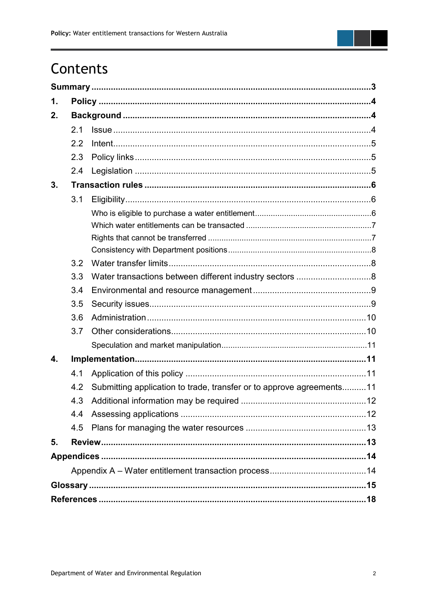

# Contents

| 1. |     |                                                                      |  |  |
|----|-----|----------------------------------------------------------------------|--|--|
| 2. |     |                                                                      |  |  |
|    | 2.1 |                                                                      |  |  |
|    | 2.2 |                                                                      |  |  |
|    | 2.3 |                                                                      |  |  |
|    | 2.4 |                                                                      |  |  |
| 3. |     |                                                                      |  |  |
|    | 3.1 |                                                                      |  |  |
|    |     |                                                                      |  |  |
|    |     |                                                                      |  |  |
|    |     |                                                                      |  |  |
|    |     |                                                                      |  |  |
|    | 3.2 |                                                                      |  |  |
|    | 3.3 |                                                                      |  |  |
|    | 3.4 |                                                                      |  |  |
|    | 3.5 |                                                                      |  |  |
|    | 3.6 |                                                                      |  |  |
|    | 3.7 |                                                                      |  |  |
|    |     |                                                                      |  |  |
| 4. |     |                                                                      |  |  |
|    | 4.1 |                                                                      |  |  |
|    | 4.2 | Submitting application to trade, transfer or to approve agreements11 |  |  |
|    | 43  | Additional information may be required.                              |  |  |
|    | 4.4 |                                                                      |  |  |
|    | 4.5 |                                                                      |  |  |
| 5. |     |                                                                      |  |  |
|    |     |                                                                      |  |  |
|    |     |                                                                      |  |  |
|    |     |                                                                      |  |  |
|    |     |                                                                      |  |  |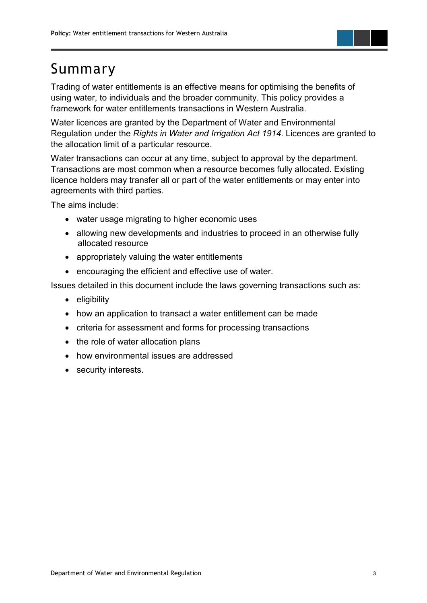# <span id="page-4-0"></span>Summary

Trading of water entitlements is an effective means for optimising the benefits of using water, to individuals and the broader community. This policy provides a framework for water entitlements transactions in Western Australia.

Water licences are granted by the Department of Water and Environmental Regulation under the *Rights in Water and Irrigation Act 1914*. Licences are granted to the allocation limit of a particular resource.

Water transactions can occur at any time, subject to approval by the department. Transactions are most common when a resource becomes fully allocated. Existing licence holders may transfer all or part of the water entitlements or may enter into agreements with third parties.

The aims include:

- water usage migrating to higher economic uses
- allowing new developments and industries to proceed in an otherwise fully allocated resource
- appropriately valuing the water entitlements
- encouraging the efficient and effective use of water.

Issues detailed in this document include the laws governing transactions such as:

- eligibility
- how an application to transact a water entitlement can be made
- criteria for assessment and forms for processing transactions
- the role of water allocation plans
- how environmental issues are addressed
- security interests.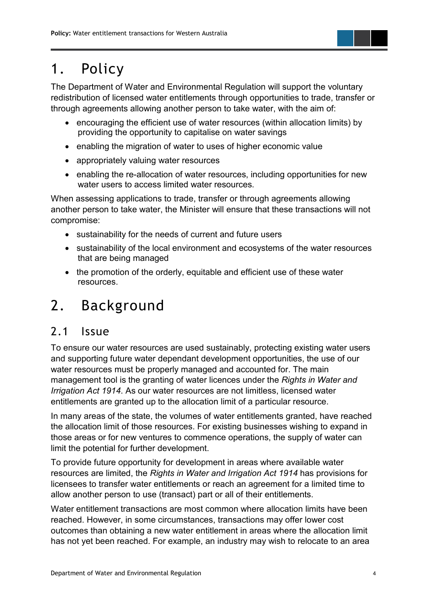# <span id="page-5-0"></span>1. Policy

The Department of Water and Environmental Regulation will support the voluntary redistribution of licensed water entitlements through opportunities to trade, transfer or through agreements allowing another person to take water, with the aim of:

- encouraging the efficient use of water resources (within allocation limits) by providing the opportunity to capitalise on water savings
- enabling the migration of water to uses of higher economic value
- appropriately valuing water resources
- enabling the re-allocation of water resources, including opportunities for new water users to access limited water resources.

When assessing applications to trade, transfer or through agreements allowing another person to take water, the Minister will ensure that these transactions will not compromise:

- sustainability for the needs of current and future users
- sustainability of the local environment and ecosystems of the water resources that are being managed
- the promotion of the orderly, equitable and efficient use of these water resources.

# <span id="page-5-1"></span>2. Background

#### <span id="page-5-2"></span>2.1 Issue

To ensure our water resources are used sustainably, protecting existing water users and supporting future water dependant development opportunities, the use of our water resources must be properly managed and accounted for. The main management tool is the granting of water licences under the *Rights in Water and Irrigation Act 1914*. As our water resources are not limitless, licensed water entitlements are granted up to the allocation limit of a particular resource.

In many areas of the state, the volumes of water entitlements granted, have reached the allocation limit of those resources. For existing businesses wishing to expand in those areas or for new ventures to commence operations, the supply of water can limit the potential for further development.

To provide future opportunity for development in areas where available water resources are limited, the *Rights in Water and Irrigation Act 1914* has provisions for licensees to transfer water entitlements or reach an agreement for a limited time to allow another person to use (transact) part or all of their entitlements.

Water entitlement transactions are most common where allocation limits have been reached. However, in some circumstances, transactions may offer lower cost outcomes than obtaining a new water entitlement in areas where the allocation limit has not yet been reached. For example, an industry may wish to relocate to an area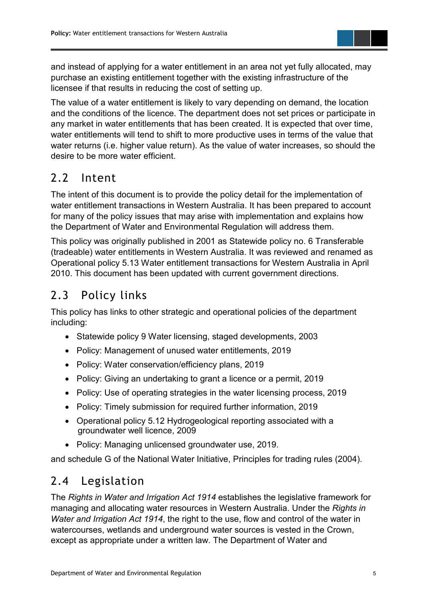and instead of applying for a water entitlement in an area not yet fully allocated, may purchase an existing entitlement together with the existing infrastructure of the licensee if that results in reducing the cost of setting up.

The value of a water entitlement is likely to vary depending on demand, the location and the conditions of the licence. The department does not set prices or participate in any market in water entitlements that has been created. It is expected that over time, water entitlements will tend to shift to more productive uses in terms of the value that water returns (i.e. higher value return). As the value of water increases, so should the desire to be more water efficient.

### <span id="page-6-0"></span>2.2 Intent

The intent of this document is to provide the policy detail for the implementation of water entitlement transactions in Western Australia. It has been prepared to account for many of the policy issues that may arise with implementation and explains how the Department of Water and Environmental Regulation will address them.

This policy was originally published in 2001 as Statewide policy no. 6 Transferable (tradeable) water entitlements in Western Australia. It was reviewed and renamed as Operational policy 5.13 Water entitlement transactions for Western Australia in April 2010. This document has been updated with current government directions.

# <span id="page-6-1"></span>2.3 Policy links

This policy has links to other strategic and operational policies of the department including:

- Statewide policy 9 Water licensing, staged developments, 2003
- Policy: Management of unused water entitlements, 2019
- Policy: Water conservation/efficiency plans, 2019
- Policy: Giving an undertaking to grant a licence or a permit, 2019
- Policy: Use of operating strategies in the water licensing process, 2019
- Policy: Timely submission for required further information, 2019
- Operational policy 5.12 Hydrogeological reporting associated with a groundwater well licence, 2009
- Policy: Managing unlicensed groundwater use, 2019.

and schedule G of the National Water Initiative, Principles for trading rules (2004).

# <span id="page-6-2"></span>2.4 Legislation

The *Rights in Water and Irrigation Act 1914* establishes the legislative framework for managing and allocating water resources in Western Australia. Under the *Rights in Water and Irrigation Act 1914*, the right to the use, flow and control of the water in watercourses, wetlands and underground water sources is vested in the Crown, except as appropriate under a written law. The Department of Water and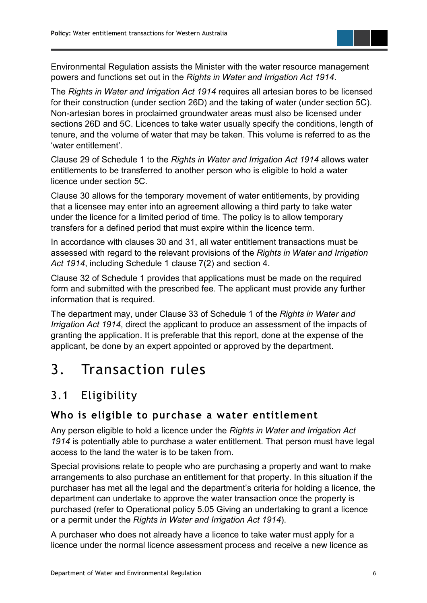Environmental Regulation assists the Minister with the water resource management powers and functions set out in the *Rights in Water and Irrigation Act 1914*.

The *Rights in Water and Irrigation Act 1914* requires all artesian bores to be licensed for their construction (under section 26D) and the taking of water (under section 5C). Non-artesian bores in proclaimed groundwater areas must also be licensed under sections 26D and 5C. Licences to take water usually specify the conditions, length of tenure, and the volume of water that may be taken. This volume is referred to as the 'water entitlement'.

Clause 29 of Schedule 1 to the *Rights in Water and Irrigation Act 1914* allows water entitlements to be transferred to another person who is eligible to hold a water licence under section 5C.

Clause 30 allows for the temporary movement of water entitlements, by providing that a licensee may enter into an agreement allowing a third party to take water under the licence for a limited period of time. The policy is to allow temporary transfers for a defined period that must expire within the licence term.

In accordance with clauses 30 and 31, all water entitlement transactions must be assessed with regard to the relevant provisions of the *Rights in Water and Irrigation Act 1914*, including Schedule 1 clause 7(2) and section 4.

Clause 32 of Schedule 1 provides that applications must be made on the required form and submitted with the prescribed fee. The applicant must provide any further information that is required.

The department may, under Clause 33 of Schedule 1 of the *Rights in Water and Irrigation Act 1914*, direct the applicant to produce an assessment of the impacts of granting the application. It is preferable that this report, done at the expense of the applicant, be done by an expert appointed or approved by the department.

# <span id="page-7-0"></span>3. Transaction rules

# <span id="page-7-1"></span>3.1 Eligibility

#### <span id="page-7-2"></span>**Who is eligible to purchase a water entitlement**

Any person eligible to hold a licence under the *Rights in Water and Irrigation Act 1914* is potentially able to purchase a water entitlement. That person must have legal access to the land the water is to be taken from.

Special provisions relate to people who are purchasing a property and want to make arrangements to also purchase an entitlement for that property. In this situation if the purchaser has met all the legal and the department's criteria for holding a licence, the department can undertake to approve the water transaction once the property is purchased (refer to Operational policy 5.05 Giving an undertaking to grant a licence or a permit under the *Rights in Water and Irrigation Act 1914*).

A purchaser who does not already have a licence to take water must apply for a licence under the normal licence assessment process and receive a new licence as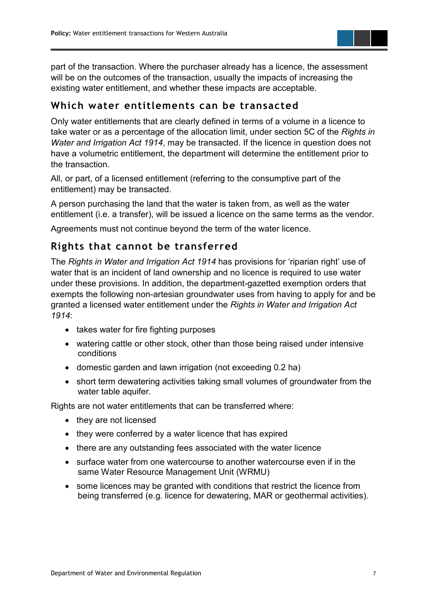part of the transaction. Where the purchaser already has a licence, the assessment will be on the outcomes of the transaction, usually the impacts of increasing the existing water entitlement, and whether these impacts are acceptable.

#### <span id="page-8-0"></span>**Which water entitlements can be transacted**

Only water entitlements that are clearly defined in terms of a volume in a licence to take water or as a percentage of the allocation limit, under section 5C of the *Rights in Water and Irrigation Act 1914*, may be transacted. If the licence in question does not have a volumetric entitlement, the department will determine the entitlement prior to the transaction.

All, or part, of a licensed entitlement (referring to the consumptive part of the entitlement) may be transacted.

A person purchasing the land that the water is taken from, as well as the water entitlement (i.e. a transfer), will be issued a licence on the same terms as the vendor.

Agreements must not continue beyond the term of the water licence.

#### <span id="page-8-1"></span>**Rights that cannot be transferred**

The *Rights in Water and Irrigation Act 1914* has provisions for 'riparian right' use of water that is an incident of land ownership and no licence is required to use water under these provisions. In addition, the department-gazetted exemption orders that exempts the following non-artesian groundwater uses from having to apply for and be granted a licensed water entitlement under the *Rights in Water and Irrigation Act 1914*:

- takes water for fire fighting purposes
- watering cattle or other stock, other than those being raised under intensive conditions
- domestic garden and lawn irrigation (not exceeding 0.2 ha)
- short term dewatering activities taking small volumes of groundwater from the water table aquifer.

Rights are not water entitlements that can be transferred where:

- they are not licensed
- they were conferred by a water licence that has expired
- there are any outstanding fees associated with the water licence
- surface water from one watercourse to another watercourse even if in the same Water Resource Management Unit (WRMU)
- <span id="page-8-2"></span>• some licences may be granted with conditions that restrict the licence from being transferred (e.g. licence for dewatering, MAR or geothermal activities).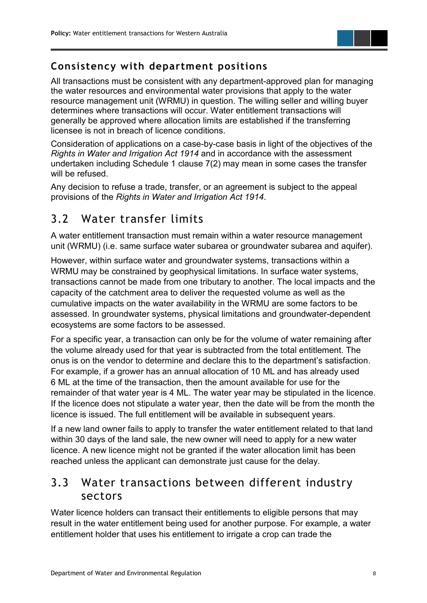#### **Consistency with department positions**

All transactions must be consistent with any department-approved plan for managing the water resources and environmental water provisions that apply to the water resource management unit (WRMU) in question. The willing seller and willing buyer determines where transactions will occur. Water entitlement transactions will generally be approved where allocation limits are established if the transferring licensee is not in breach of licence conditions.

Consideration of applications on a case-by-case basis in light of the objectives of the *Rights in Water and Irrigation Act 1914* and in accordance with the assessment undertaken including Schedule 1 clause 7(2) may mean in some cases the transfer will be refused.

Any decision to refuse a trade, transfer, or an agreement is subject to the appeal provisions of the *Rights in Water and Irrigation Act 1914*.

#### <span id="page-9-0"></span>3.2 Water transfer limits

A water entitlement transaction must remain within a water resource management unit (WRMU) (i.e. same surface water subarea or groundwater subarea and aquifer).

However, within surface water and groundwater systems, transactions within a WRMU may be constrained by geophysical limitations. In surface water systems, transactions cannot be made from one tributary to another. The local impacts and the capacity of the catchment area to deliver the requested volume as well as the cumulative impacts on the water availability in the WRMU are some factors to be assessed. In groundwater systems, physical limitations and groundwater-dependent ecosystems are some factors to be assessed.

For a specific year, a transaction can only be for the volume of water remaining after the volume already used for that year is subtracted from the total entitlement. The onus is on the vendor to determine and declare this to the department's satisfaction. For example, if a grower has an annual allocation of 10 ML and has already used 6 ML at the time of the transaction, then the amount available for use for the remainder of that water year is 4 ML. The water year may be stipulated in the licence. If the licence does not stipulate a water year, then the date will be from the month the licence is issued. The full entitlement will be available in subsequent years.

If a new land owner fails to apply to transfer the water entitlement related to that land within 30 days of the land sale, the new owner will need to apply for a new water licence. A new licence might not be granted if the water allocation limit has been reached unless the applicant can demonstrate just cause for the delay.

#### <span id="page-9-1"></span>3.3 Water transactions between different industry sectors

Water licence holders can transact their entitlements to eligible persons that may result in the water entitlement being used for another purpose. For example, a water entitlement holder that uses his entitlement to irrigate a crop can trade the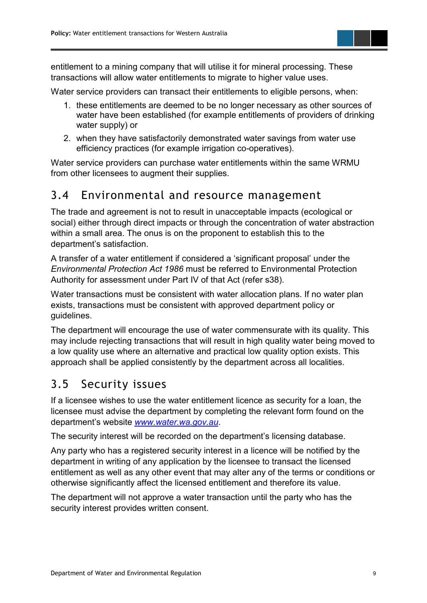entitlement to a mining company that will utilise it for mineral processing. These transactions will allow water entitlements to migrate to higher value uses.

Water service providers can transact their entitlements to eligible persons, when:

- 1. these entitlements are deemed to be no longer necessary as other sources of water have been established (for example entitlements of providers of drinking water supply) or
- 2. when they have satisfactorily demonstrated water savings from water use efficiency practices (for example irrigation co-operatives).

Water service providers can purchase water entitlements within the same WRMU from other licensees to augment their supplies.

#### <span id="page-10-0"></span>3.4 Environmental and resource management

The trade and agreement is not to result in unacceptable impacts (ecological or social) either through direct impacts or through the concentration of water abstraction within a small area. The onus is on the proponent to establish this to the department's satisfaction.

A transfer of a water entitlement if considered a 'significant proposal' under the *Environmental Protection Act 1986* must be referred to Environmental Protection Authority for assessment under Part IV of that Act (refer s38).

Water transactions must be consistent with water allocation plans. If no water plan exists, transactions must be consistent with approved department policy or guidelines.

The department will encourage the use of water commensurate with its quality. This may include rejecting transactions that will result in high quality water being moved to a low quality use where an alternative and practical low quality option exists. This approach shall be applied consistently by the department across all localities.

#### <span id="page-10-1"></span>3.5 Security issues

If a licensee wishes to use the water entitlement licence as security for a loan, the licensee must advise the department by completing the relevant form found on the department's website *[www.water.wa.gov.au](http://www.water.wa.gov.au/)*.

The security interest will be recorded on the department's licensing database.

Any party who has a registered security interest in a licence will be notified by the department in writing of any application by the licensee to transact the licensed entitlement as well as any other event that may alter any of the terms or conditions or otherwise significantly affect the licensed entitlement and therefore its value.

The department will not approve a water transaction until the party who has the security interest provides written consent.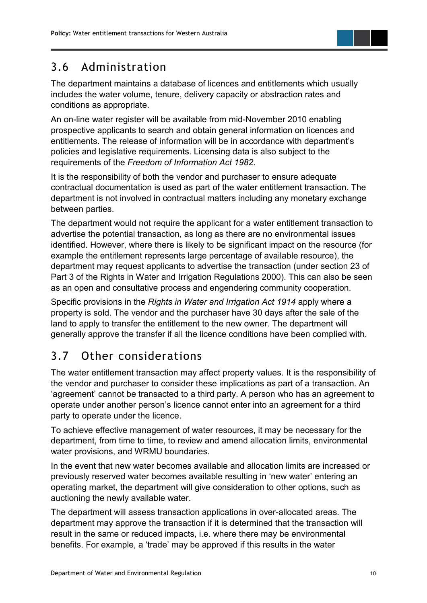#### <span id="page-11-0"></span>3.6 Administration

The department maintains a database of licences and entitlements which usually includes the water volume, tenure, delivery capacity or abstraction rates and conditions as appropriate.

An on-line water register will be available from mid-November 2010 enabling prospective applicants to search and obtain general information on licences and entitlements. The release of information will be in accordance with department's policies and legislative requirements. Licensing data is also subject to the requirements of the *Freedom of Information Act 1982*.

It is the responsibility of both the vendor and purchaser to ensure adequate contractual documentation is used as part of the water entitlement transaction. The department is not involved in contractual matters including any monetary exchange between parties.

The department would not require the applicant for a water entitlement transaction to advertise the potential transaction, as long as there are no environmental issues identified. However, where there is likely to be significant impact on the resource (for example the entitlement represents large percentage of available resource), the department may request applicants to advertise the transaction (under section 23 of Part 3 of the Rights in Water and Irrigation Regulations 2000). This can also be seen as an open and consultative process and engendering community cooperation.

Specific provisions in the *Rights in Water and Irrigation Act 1914* apply where a property is sold. The vendor and the purchaser have 30 days after the sale of the land to apply to transfer the entitlement to the new owner. The department will generally approve the transfer if all the licence conditions have been complied with.

# <span id="page-11-1"></span>3.7 Other considerations

The water entitlement transaction may affect property values. It is the responsibility of the vendor and purchaser to consider these implications as part of a transaction. An 'agreement' cannot be transacted to a third party. A person who has an agreement to operate under another person's licence cannot enter into an agreement for a third party to operate under the licence.

To achieve effective management of water resources, it may be necessary for the department, from time to time, to review and amend allocation limits, environmental water provisions, and WRMU boundaries.

In the event that new water becomes available and allocation limits are increased or previously reserved water becomes available resulting in 'new water' entering an operating market, the department will give consideration to other options, such as auctioning the newly available water.

The department will assess transaction applications in over-allocated areas. The department may approve the transaction if it is determined that the transaction will result in the same or reduced impacts, i.e. where there may be environmental benefits. For example, a 'trade' may be approved if this results in the water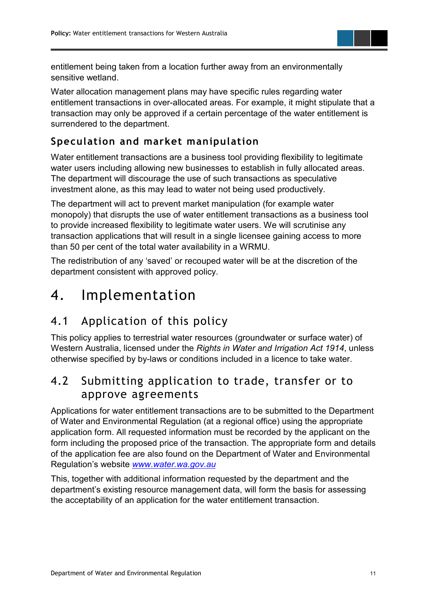

entitlement being taken from a location further away from an environmentally sensitive wetland.

Water allocation management plans may have specific rules regarding water entitlement transactions in over-allocated areas. For example, it might stipulate that a transaction may only be approved if a certain percentage of the water entitlement is surrendered to the department.

#### <span id="page-12-0"></span>**Speculation and market manipulation**

Water entitlement transactions are a business tool providing flexibility to legitimate water users including allowing new businesses to establish in fully allocated areas. The department will discourage the use of such transactions as speculative investment alone, as this may lead to water not being used productively.

The department will act to prevent market manipulation (for example water monopoly) that disrupts the use of water entitlement transactions as a business tool to provide increased flexibility to legitimate water users. We will scrutinise any transaction applications that will result in a single licensee gaining access to more than 50 per cent of the total water availability in a WRMU.

The redistribution of any 'saved' or recouped water will be at the discretion of the department consistent with approved policy.

# <span id="page-12-1"></span>4. Implementation

# <span id="page-12-2"></span>4.1 Application of this policy

This policy applies to terrestrial water resources (groundwater or surface water) of Western Australia, licensed under the *Rights in Water and Irrigation Act 1914*, unless otherwise specified by by-laws or conditions included in a licence to take water.

#### <span id="page-12-3"></span>4.2 Submitting application to trade, transfer or to approve agreements

Applications for water entitlement transactions are to be submitted to the Department of Water and Environmental Regulation (at a regional office) using the appropriate application form. All requested information must be recorded by the applicant on the form including the proposed price of the transaction. The appropriate form and details of the application fee are also found on the Department of Water and Environmental Regulation's website *[www.water.wa.gov.au](http://www.water.wa.gov.au/)*

This, together with additional information requested by the department and the department's existing resource management data, will form the basis for assessing the acceptability of an application for the water entitlement transaction.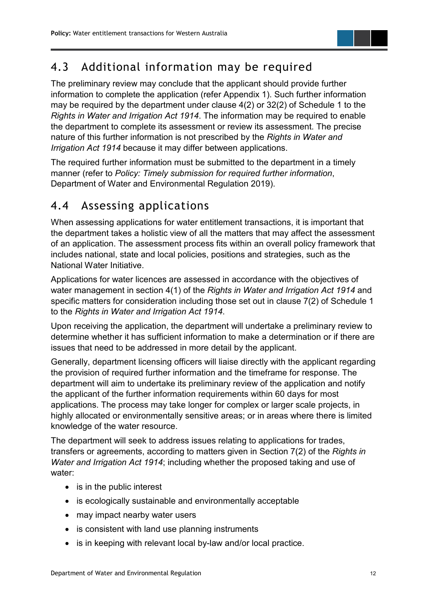# <span id="page-13-0"></span>4.3 Additional information may be required

The preliminary review may conclude that the applicant should provide further information to complete the application (refer Appendix 1). Such further information may be required by the department under clause 4(2) or 32(2) of Schedule 1 to the *Rights in Water and Irrigation Act 1914*. The information may be required to enable the department to complete its assessment or review its assessment. The precise nature of this further information is not prescribed by the *Rights in Water and Irrigation Act 1914* because it may differ between applications.

The required further information must be submitted to the department in a timely manner (refer to *Policy: Timely submission for required further information*, Department of Water and Environmental Regulation 2019).

#### <span id="page-13-1"></span>4.4 Assessing applications

When assessing applications for water entitlement transactions, it is important that the department takes a holistic view of all the matters that may affect the assessment of an application. The assessment process fits within an overall policy framework that includes national, state and local policies, positions and strategies, such as the National Water Initiative.

Applications for water licences are assessed in accordance with the objectives of water management in section 4(1) of the *Rights in Water and Irrigation Act 1914* and specific matters for consideration including those set out in clause 7(2) of Schedule 1 to the *Rights in Water and Irrigation Act 1914*.

Upon receiving the application, the department will undertake a preliminary review to determine whether it has sufficient information to make a determination or if there are issues that need to be addressed in more detail by the applicant.

Generally, department licensing officers will liaise directly with the applicant regarding the provision of required further information and the timeframe for response. The department will aim to undertake its preliminary review of the application and notify the applicant of the further information requirements within 60 days for most applications. The process may take longer for complex or larger scale projects, in highly allocated or environmentally sensitive areas; or in areas where there is limited knowledge of the water resource.

The department will seek to address issues relating to applications for trades, transfers or agreements, according to matters given in Section 7(2) of the *Rights in Water and Irrigation Act 1914*; including whether the proposed taking and use of water:

- is in the public interest
- is ecologically sustainable and environmentally acceptable
- may impact nearby water users
- is consistent with land use planning instruments
- is in keeping with relevant local by-law and/or local practice.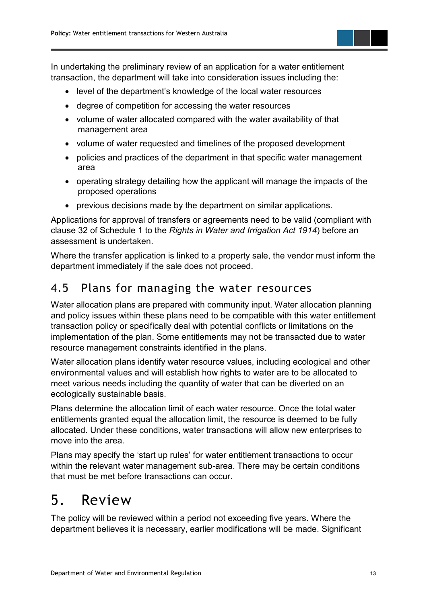In undertaking the preliminary review of an application for a water entitlement transaction, the department will take into consideration issues including the:

- level of the department's knowledge of the local water resources
- degree of competition for accessing the water resources
- volume of water allocated compared with the water availability of that management area
- volume of water requested and timelines of the proposed development
- policies and practices of the department in that specific water management area
- operating strategy detailing how the applicant will manage the impacts of the proposed operations
- previous decisions made by the department on similar applications.

Applications for approval of transfers or agreements need to be valid (compliant with clause 32 of Schedule 1 to the *Rights in Water and Irrigation Act 1914*) before an assessment is undertaken.

Where the transfer application is linked to a property sale, the vendor must inform the department immediately if the sale does not proceed.

#### <span id="page-14-0"></span>4.5 Plans for managing the water resources

Water allocation plans are prepared with community input. Water allocation planning and policy issues within these plans need to be compatible with this water entitlement transaction policy or specifically deal with potential conflicts or limitations on the implementation of the plan. Some entitlements may not be transacted due to water resource management constraints identified in the plans.

Water allocation plans identify water resource values, including ecological and other environmental values and will establish how rights to water are to be allocated to meet various needs including the quantity of water that can be diverted on an ecologically sustainable basis.

Plans determine the allocation limit of each water resource. Once the total water entitlements granted equal the allocation limit, the resource is deemed to be fully allocated. Under these conditions, water transactions will allow new enterprises to move into the area.

Plans may specify the 'start up rules' for water entitlement transactions to occur within the relevant water management sub-area. There may be certain conditions that must be met before transactions can occur.

# <span id="page-14-1"></span>5. Review

The policy will be reviewed within a period not exceeding five years. Where the department believes it is necessary, earlier modifications will be made. Significant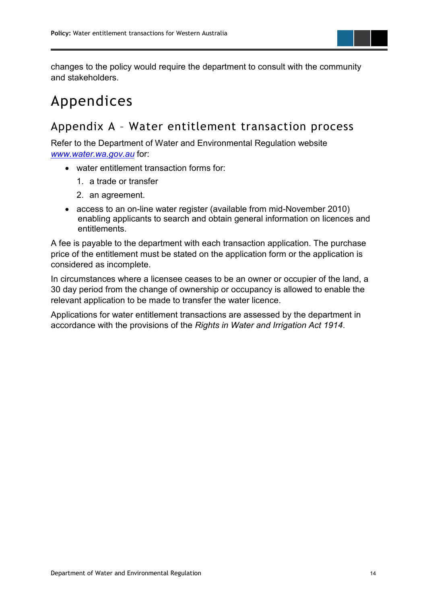

changes to the policy would require the department to consult with the community and stakeholders.

# <span id="page-15-0"></span>Appendices

#### <span id="page-15-1"></span>Appendix A – Water entitlement transaction process

Refer to the Department of Water and Environmental Regulation website *[www.water.wa.gov.au](http://www.water.wa.gov.au/)* for:

- water entitlement transaction forms for:
	- 1. a trade or transfer
	- 2. an agreement.
- access to an on-line water register (available from mid-November 2010) enabling applicants to search and obtain general information on licences and entitlements.

A fee is payable to the department with each transaction application. The purchase price of the entitlement must be stated on the application form or the application is considered as incomplete.

In circumstances where a licensee ceases to be an owner or occupier of the land, a 30 day period from the change of ownership or occupancy is allowed to enable the relevant application to be made to transfer the water licence.

Applications for water entitlement transactions are assessed by the department in accordance with the provisions of the *Rights in Water and Irrigation Act 1914*.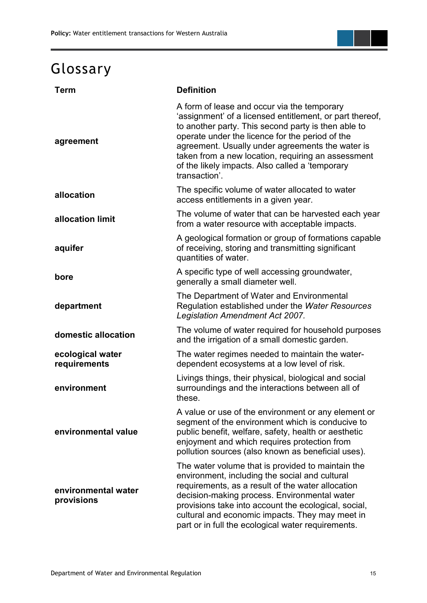# <span id="page-16-0"></span>Glossary

| <b>Term</b>                       | <b>Definition</b>                                                                                                                                                                                                                                                                                                                                                                               |
|-----------------------------------|-------------------------------------------------------------------------------------------------------------------------------------------------------------------------------------------------------------------------------------------------------------------------------------------------------------------------------------------------------------------------------------------------|
| agreement                         | A form of lease and occur via the temporary<br>'assignment' of a licensed entitlement, or part thereof,<br>to another party. This second party is then able to<br>operate under the licence for the period of the<br>agreement. Usually under agreements the water is<br>taken from a new location, requiring an assessment<br>of the likely impacts. Also called a 'temporary<br>transaction'. |
| allocation                        | The specific volume of water allocated to water<br>access entitlements in a given year.                                                                                                                                                                                                                                                                                                         |
| allocation limit                  | The volume of water that can be harvested each year<br>from a water resource with acceptable impacts.                                                                                                                                                                                                                                                                                           |
| aquifer                           | A geological formation or group of formations capable<br>of receiving, storing and transmitting significant<br>quantities of water.                                                                                                                                                                                                                                                             |
| bore                              | A specific type of well accessing groundwater,<br>generally a small diameter well.                                                                                                                                                                                                                                                                                                              |
| department                        | The Department of Water and Environmental<br>Regulation established under the Water Resources<br>Legislation Amendment Act 2007.                                                                                                                                                                                                                                                                |
| domestic allocation               | The volume of water required for household purposes<br>and the irrigation of a small domestic garden.                                                                                                                                                                                                                                                                                           |
| ecological water<br>requirements  | The water regimes needed to maintain the water-<br>dependent ecosystems at a low level of risk.                                                                                                                                                                                                                                                                                                 |
| environment                       | Livings things, their physical, biological and social<br>surroundings and the interactions between all of<br>these.                                                                                                                                                                                                                                                                             |
| environmental value               | A value or use of the environment or any element or<br>segment of the environment which is conducive to<br>public benefit, welfare, safety, health or aesthetic<br>enjoyment and which requires protection from<br>pollution sources (also known as beneficial uses).                                                                                                                           |
| environmental water<br>provisions | The water volume that is provided to maintain the<br>environment, including the social and cultural<br>requirements, as a result of the water allocation<br>decision-making process. Environmental water<br>provisions take into account the ecological, social,<br>cultural and economic impacts. They may meet in<br>part or in full the ecological water requirements.                       |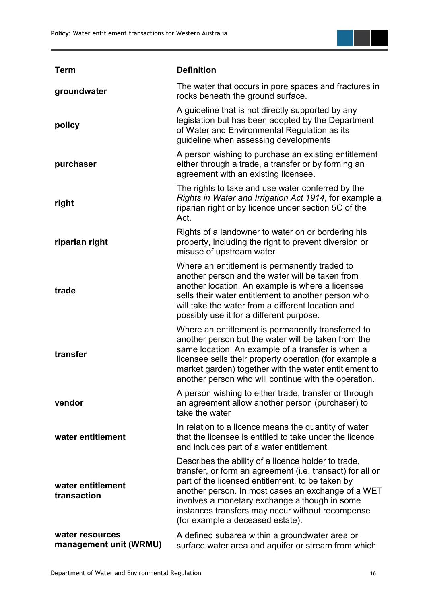

| <b>Term</b>                               | <b>Definition</b>                                                                                                                                                                                                                                                                                                                                                   |
|-------------------------------------------|---------------------------------------------------------------------------------------------------------------------------------------------------------------------------------------------------------------------------------------------------------------------------------------------------------------------------------------------------------------------|
| groundwater                               | The water that occurs in pore spaces and fractures in<br>rocks beneath the ground surface.                                                                                                                                                                                                                                                                          |
| policy                                    | A guideline that is not directly supported by any<br>legislation but has been adopted by the Department<br>of Water and Environmental Regulation as its<br>guideline when assessing developments                                                                                                                                                                    |
| purchaser                                 | A person wishing to purchase an existing entitlement<br>either through a trade, a transfer or by forming an<br>agreement with an existing licensee.                                                                                                                                                                                                                 |
| right                                     | The rights to take and use water conferred by the<br>Rights in Water and Irrigation Act 1914, for example a<br>riparian right or by licence under section 5C of the<br>Act.                                                                                                                                                                                         |
| riparian right                            | Rights of a landowner to water on or bordering his<br>property, including the right to prevent diversion or<br>misuse of upstream water                                                                                                                                                                                                                             |
| trade                                     | Where an entitlement is permanently traded to<br>another person and the water will be taken from<br>another location. An example is where a licensee<br>sells their water entitlement to another person who<br>will take the water from a different location and<br>possibly use it for a different purpose.                                                        |
| transfer                                  | Where an entitlement is permanently transferred to<br>another person but the water will be taken from the<br>same location. An example of a transfer is when a<br>licensee sells their property operation (for example a<br>market garden) together with the water entitlement to<br>another person who will continue with the operation.                           |
| vendor                                    | A person wishing to either trade, transfer or through<br>an agreement allow another person (purchaser) to<br>take the water                                                                                                                                                                                                                                         |
| water entitlement                         | In relation to a licence means the quantity of water<br>that the licensee is entitled to take under the licence<br>and includes part of a water entitlement.                                                                                                                                                                                                        |
| water entitlement<br>transaction          | Describes the ability of a licence holder to trade,<br>transfer, or form an agreement (i.e. transact) for all or<br>part of the licensed entitlement, to be taken by<br>another person. In most cases an exchange of a WET<br>involves a monetary exchange although in some<br>instances transfers may occur without recompense<br>(for example a deceased estate). |
| water resources<br>management unit (WRMU) | A defined subarea within a groundwater area or<br>surface water area and aquifer or stream from which                                                                                                                                                                                                                                                               |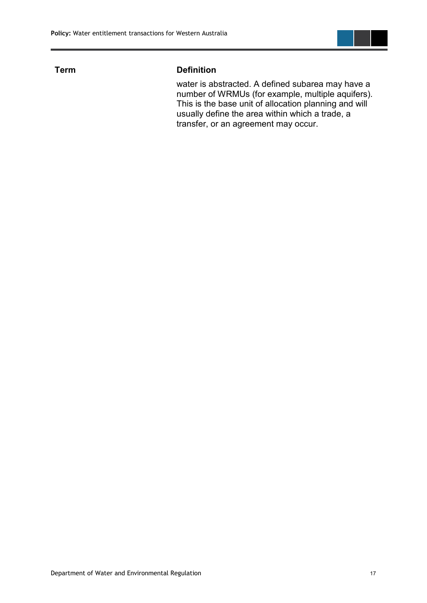

#### **Term Definition**

water is abstracted. A defined subarea may have a number of WRMUs (for example, multiple aquifers). This is the base unit of allocation planning and will usually define the area within which a trade, a transfer, or an agreement may occur.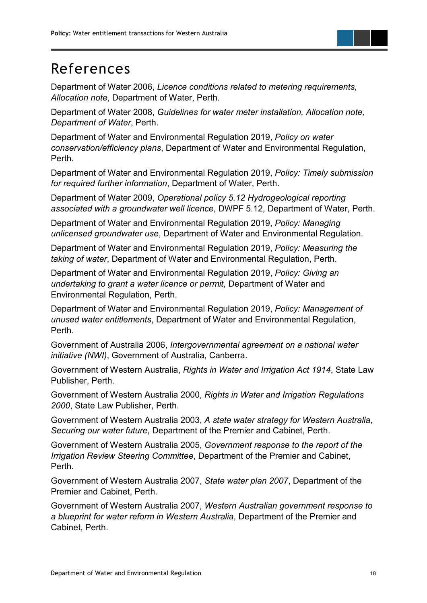# <span id="page-19-0"></span>References

Department of Water 2006, *Licence conditions related to metering requirements, Allocation note*, Department of Water, Perth.

Department of Water 2008, *Guidelines for water meter installation, Allocation note, Department of Water*, Perth.

Department of Water and Environmental Regulation 2019, *Policy on water conservation/efficiency plans*, Department of Water and Environmental Regulation, Perth.

Department of Water and Environmental Regulation 2019, *Policy: Timely submission for required further information*, Department of Water, Perth.

Department of Water 2009, *Operational policy 5.12 Hydrogeological reporting associated with a groundwater well licence*, DWPF 5.12, Department of Water, Perth.

Department of Water and Environmental Regulation 2019, *Policy: Managing unlicensed groundwater use*, Department of Water and Environmental Regulation.

Department of Water and Environmental Regulation 2019, *Policy: Measuring the taking of water*, Department of Water and Environmental Regulation, Perth.

Department of Water and Environmental Regulation 2019, *Policy: Giving an undertaking to grant a water licence or permit*, Department of Water and Environmental Regulation, Perth.

Department of Water and Environmental Regulation 2019, *Policy: Management of unused water entitlements*, Department of Water and Environmental Regulation, Perth.

Government of Australia 2006, *Intergovernmental agreement on a national water initiative (NWI)*, Government of Australia, Canberra.

Government of Western Australia, *Rights in Water and Irrigation Act 1914*, State Law Publisher, Perth.

Government of Western Australia 2000, *Rights in Water and Irrigation Regulations 2000*, State Law Publisher, Perth.

Government of Western Australia 2003, *A state water strategy for Western Australia, Securing our water future*, Department of the Premier and Cabinet, Perth.

Government of Western Australia 2005, *Government response to the report of the Irrigation Review Steering Committee*, Department of the Premier and Cabinet, Perth.

Government of Western Australia 2007, *State water plan 2007*, Department of the Premier and Cabinet, Perth.

Government of Western Australia 2007, *Western Australian government response to a blueprint for water reform in Western Australia*, Department of the Premier and Cabinet, Perth.